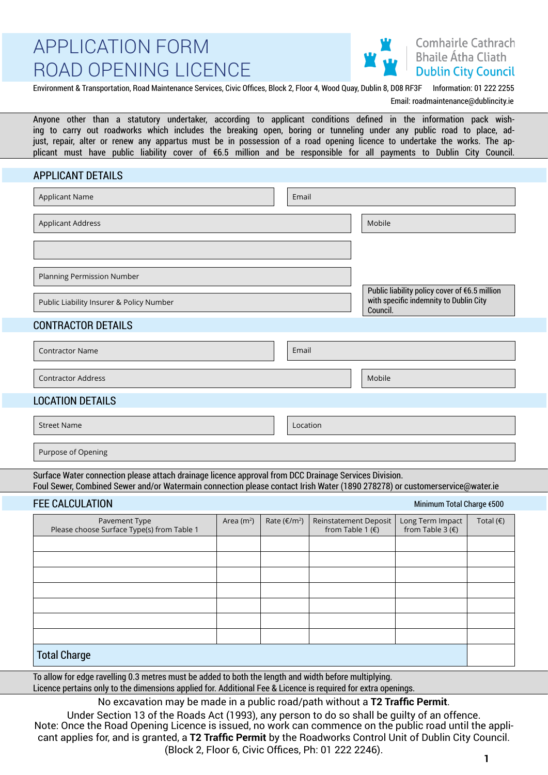# **Comhairle Cathrach Bhaile Átha Cliath Dublin City Council**

Environment & Transportation, Road Maintenance Services, Civic Offices, Block 2, Floor 4, Wood Quay, Dublin 8, D08 RF3F Information: 01 222 2255

Email: roadmaintenance@dublincity.ie

Anyone other than a statutory undertaker, according to applicant conditions defined in the information pack wishing to carry out roadworks which includes the breaking open, boring or tunneling under any public road to place, adjust, repair, alter or renew any appartus must be in possession of a road opening licence to undertake the works. The applicant must have public liability cover of €6.5 million and be responsible for all payments to Dublin City Council.

## APPLICANT DETAILS

| <b>Applicant Name</b>                     | Email |                                                                                                     |
|-------------------------------------------|-------|-----------------------------------------------------------------------------------------------------|
| <b>Applicant Address</b>                  |       | Mobile                                                                                              |
|                                           |       |                                                                                                     |
| Planning Permission Number                |       |                                                                                                     |
| Public Liability Insurer & Policy Number  |       | Public liability policy cover of €6.5 million<br>with specific indemnity to Dublin City<br>Council. |
| <b>CONTRACTOR DETAILS</b>                 |       |                                                                                                     |
| <b>Contractor Name</b>                    | Email |                                                                                                     |
| <b>Contractor Address</b>                 |       | Mobile                                                                                              |
| <b>LOCATION DETAILS</b><br>$\overline{ }$ |       |                                                                                                     |

Street Name Location and Contract Contract Contract Contract Contract Contract Contract Contract Contract Contract Contract Contract Contract Contract Contract Contract Contract Contract Contract Contract Contract Contract

Purpose of Opening

Surface Water connection please attach drainage licence approval from DCC Drainage Services Division. Foul Sewer, Combined Sewer and/or Watermain connection please contact Irish Water (1890 278278) or customerservice@water.ie

# FFF CALCULATION

|                                                             |              |                       |                                             |                                        | $\tilde{\phantom{a}}$ |
|-------------------------------------------------------------|--------------|-----------------------|---------------------------------------------|----------------------------------------|-----------------------|
| Pavement Type<br>Please choose Surface Type(s) from Table 1 | Area $(m^2)$ | Rate $(\epsilon/m^2)$ | Reinstatement Deposit<br>from Table 1 $(E)$ | Long Term Impact<br>from Table 3 $(E)$ | Total $(\epsilon)$    |
|                                                             |              |                       |                                             |                                        |                       |
|                                                             |              |                       |                                             |                                        |                       |
|                                                             |              |                       |                                             |                                        |                       |
|                                                             |              |                       |                                             |                                        |                       |
|                                                             |              |                       |                                             |                                        |                       |
|                                                             |              |                       |                                             |                                        |                       |
|                                                             |              |                       |                                             |                                        |                       |
| <b>Total Charge</b>                                         |              |                       |                                             |                                        |                       |

To allow for edge ravelling 0.3 metres must be added to both the length and width before multiplying.

Licence pertains only to the dimensions applied for. Additional Fee & Licence is required for extra openings.

No excavation may be made in a public road/path without a **T2 Traffic Permit**.

Under Section 13 of the Roads Act (1993), any person to do so shall be guilty of an offence. Note: Once the Road Opening Licence is issued, no work can commence on the public road until the applicant applies for, and is granted, a **T2 Traffic Permit** by the Roadworks Control Unit of Dublin City Council. (Block 2, Floor 6, Civic Offices, Ph: 01 222 2246). **<sup>1</sup>**

Minimum Total Charge €500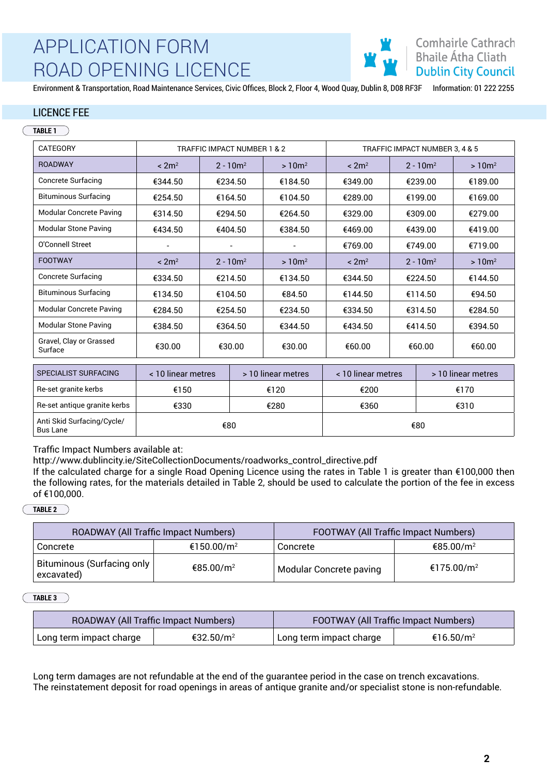

Environment & Transportation, Road Maintenance Services, Civic Offices, Block 2, Floor 4, Wood Quay, Dublin 8, D08 RF3F Information: 01 222 2255

### LICENCE FEE

#### **TABLE 1**

| CATEGORY                           |                          | TRAFFIC IMPACT NUMBER 1 & 2 |                          | TRAFFIC IMPACT NUMBER 3, 4 & 5 |             |          |
|------------------------------------|--------------------------|-----------------------------|--------------------------|--------------------------------|-------------|----------|
| <b>ROADWAY</b>                     | $\leq 2m^2$              | $2 - 10m^2$                 | $>10m^2$                 | < 2m <sup>2</sup>              | $2 - 10m^2$ | $>10m^2$ |
| <b>Concrete Surfacing</b>          | €344.50                  | €234.50                     | €184.50                  | €349.00                        | €239.00     | €189.00  |
| <b>Bituminous Surfacing</b>        | €254.50                  | €164.50                     | €104.50                  | €289.00                        | €199.00     | €169.00  |
| <b>Modular Concrete Paving</b>     | €314.50                  | €294.50                     | €264.50                  | €329.00                        | €309.00     | €279.00  |
| <b>Modular Stone Paving</b>        | €434.50                  | €404.50                     | €384.50                  | €469.00                        | €439.00     | €419.00  |
| O'Connell Street                   | $\overline{\phantom{a}}$ |                             | $\overline{\phantom{a}}$ | €769.00                        | €749.00     | €719.00  |
| <b>FOOTWAY</b>                     | $\leq 2m^2$              | $2 - 10m^2$                 | $>10m^2$                 | < 2m <sup>2</sup>              | $2 - 10m^2$ | $>10m^2$ |
| <b>Concrete Surfacing</b>          | €334.50                  | €214.50                     | €134.50                  | €344.50                        | €224.50     | €144.50  |
| <b>Bituminous Surfacing</b>        | €134.50                  | €104.50                     | €84.50                   | €144.50                        | €114.50     | €94.50   |
| <b>Modular Concrete Paving</b>     | €284.50                  | €254.50                     | €234.50                  | €334.50                        | €314.50     | €284.50  |
| <b>Modular Stone Paving</b>        | €384.50                  | €364.50                     | €344.50                  | €434.50                        | €414.50     | €394.50  |
| Gravel, Clay or Grassed<br>Surface | €30.00                   | €30.00                      | €30.00                   | €60.00                         | €60.00      | €60.00   |
|                                    |                          |                             |                          |                                |             |          |

| SPECIALIST SURFACING                          | < 10 linear metres | > 10 linear metres | < 10 linear metres | > 10 linear metres |
|-----------------------------------------------|--------------------|--------------------|--------------------|--------------------|
| Re-set granite kerbs                          | €150               | €120               | €200               | €170               |
| Re-set antique granite kerbs                  | €330               | €280               | €360               | €310               |
| Anti Skid Surfacing/Cycle/<br><b>Bus Lane</b> |                    | €80                |                    | €80                |

Traffic Impact Numbers available at:

http://www.dublincity.ie/SiteCollectionDocuments/roadworks\_control\_directive.pdf

If the calculated charge for a single Road Opening Licence using the rates in Table 1 is greater than €100,000 then the following rates, for the materials detailed in Table 2, should be used to calculate the portion of the fee in excess of €100,000.

#### **TABLE 2**

| ROADWAY (All Traffic Impact Numbers)       |                        | FOOTWAY (All Traffic Impact Numbers) |                        |  |
|--------------------------------------------|------------------------|--------------------------------------|------------------------|--|
| Concrete                                   | €150.00/m <sup>2</sup> | €85.00/m <sup>2</sup><br>Concrete    |                        |  |
| Bituminous (Surfacing only  <br>excavated) | €85.00/m <sup>2</sup>  | Modular Concrete paving              | €175.00/m <sup>2</sup> |  |

#### **TABLE 3**

| ROADWAY (All Traffic Impact Numbers) |                       | FOOTWAY (All Traffic Impact Numbers) |                       |  |  |
|--------------------------------------|-----------------------|--------------------------------------|-----------------------|--|--|
| Long term impact charge              | €32.50/m <sup>2</sup> | Long term impact charge              | €16.50/m <sup>2</sup> |  |  |

Long term damages are not refundable at the end of the guarantee period in the case on trench excavations. The reinstatement deposit for road openings in areas of antique granite and/or specialist stone is non-refundable.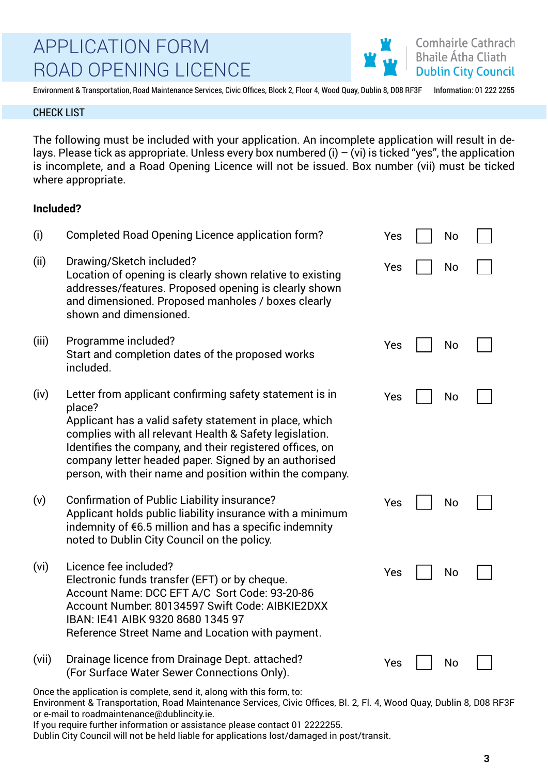Environment & Transportation, Road Maintenance Services, Civic Offices, Block 2, Floor 4, Wood Quay, Dublin 8, D08 RF3F Information: 01 222 2255

**Comhairle Cathrach Bhaile Átha Cliath Dublin City Council** 

### CHECK LIST

The following must be included with your application. An incomplete application will result in delays. Please tick as appropriate. Unless every box numbered (i)  $-$  (vi) is ticked "yes", the application is incomplete, and a Road Opening Licence will not be issued. Box number (vii) must be ticked where appropriate.

## **Included?**

| (i)   | <b>Completed Road Opening Licence application form?</b>                                                                                                                                                                                                                                                                                                                | Yes | No |  |
|-------|------------------------------------------------------------------------------------------------------------------------------------------------------------------------------------------------------------------------------------------------------------------------------------------------------------------------------------------------------------------------|-----|----|--|
| (ii)  | Drawing/Sketch included?<br>Location of opening is clearly shown relative to existing<br>addresses/features. Proposed opening is clearly shown<br>and dimensioned. Proposed manholes / boxes clearly<br>shown and dimensioned.                                                                                                                                         | Yes | No |  |
| (iii) | Programme included?<br>Start and completion dates of the proposed works<br>included.                                                                                                                                                                                                                                                                                   | Yes | No |  |
| (iv)  | Letter from applicant confirming safety statement is in<br>place?<br>Applicant has a valid safety statement in place, which<br>complies with all relevant Health & Safety legislation.<br>Identifies the company, and their registered offices, on<br>company letter headed paper. Signed by an authorised<br>person, with their name and position within the company. | Yes | No |  |
| (v)   | <b>Confirmation of Public Liability insurance?</b><br>Applicant holds public liability insurance with a minimum<br>indemnity of $\epsilon$ 6.5 million and has a specific indemnity<br>noted to Dublin City Council on the policy.                                                                                                                                     | Yes | No |  |
| (vi)  | Licence fee included?<br>Electronic funds transfer (EFT) or by cheque.<br>Account Name: DCC EFT A/C Sort Code: 93-20-86<br>Account Number. 80134597 Swift Code: AIBKIE2DXX<br>IBAN: IE41 AIBK 9320 8680 1345 97<br>Reference Street Name and Location with payment.                                                                                                    | Yes | No |  |
| (vii) | Drainage licence from Drainage Dept. attached?<br>(For Surface Water Sewer Connections Only).                                                                                                                                                                                                                                                                          | Yes | No |  |

Environment & Transportation, Road Maintenance Services, Civic Offices, Bl. 2, Fl. 4, Wood Quay, Dublin 8, D08 RF3F or e-mail to roadmaintenance@dublincity.ie.

If you require further information or assistance please contact 01 2222255.

Dublin City Council will not be held liable for applications lost/damaged in post/transit.

Once the application is complete, send it, along with this form, to: